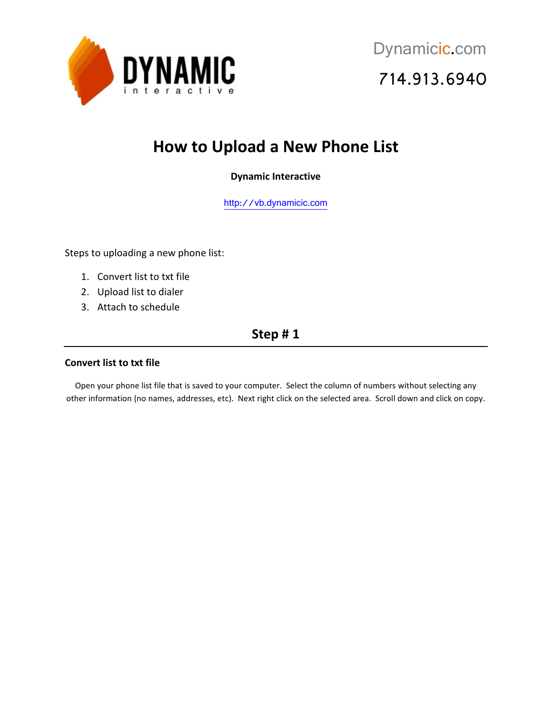

# **How to Upload a New Phone List**

### **Dynamic Interactive**

[http://vb.dynamicic.com](http://vb.dynamicic.com/) 

Steps to uploading a new phone list:

- 1. Convert list to txt file
- 2. Upload list to dialer
- 3. Attach to schedule

### **Step # 1**

#### **Convert list to txt file**

Open your phone list file that is saved to your computer. Select the column of numbers without selecting any other information (no names, addresses, etc). Next right click on the selected area. Scroll down and click on copy.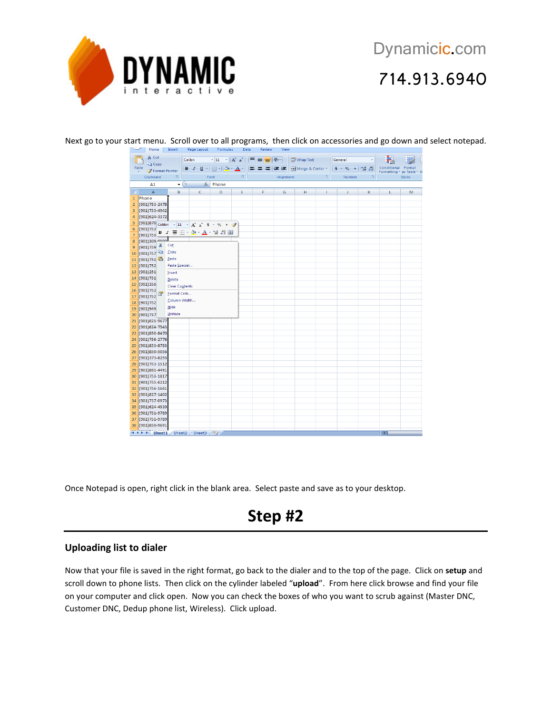

|                                       | Home                                                                                                                                                                                                                                       | Insert                                                                                                                                                                                   | Page Layout                                                                                    | Formulas                                         | Data                      | Review    | View |                              |                                        |                                                       |          |                                                            |               |
|---------------------------------------|--------------------------------------------------------------------------------------------------------------------------------------------------------------------------------------------------------------------------------------------|------------------------------------------------------------------------------------------------------------------------------------------------------------------------------------------|------------------------------------------------------------------------------------------------|--------------------------------------------------|---------------------------|-----------|------|------------------------------|----------------------------------------|-------------------------------------------------------|----------|------------------------------------------------------------|---------------|
|                                       | % Cut<br>a Copy                                                                                                                                                                                                                            |                                                                                                                                                                                          | Calibri                                                                                        | $\mathbf{A} \times \mathbf{A} \times \mathbf{A}$ |                           |           |      | Wrap Text                    |                                        | General                                               |          |                                                            |               |
|                                       | Paste                                                                                                                                                                                                                                      |                                                                                                                                                                                          | $\mathbf{B}$ $I$ $\mathbf{U}$ $\mathbf{V}$ $\mathbf{H}$ $\mathbf{V}$ $\mathbf{A}$ $\mathbf{V}$ |                                                  |                           |           |      | ■ ■ ■ 课 课 图 Merge & Center * |                                        | $\frac{1}{2}$ 5 - % , $\frac{1}{20}$ - $\frac{0}{20}$ |          | Conditional Format<br>Formatting $\tau$ as Table $\tau$ St |               |
|                                       | Format Painter<br>$\overline{\mathbb{F}_M}$ .<br>Clipboard<br>Font                                                                                                                                                                         |                                                                                                                                                                                          |                                                                                                |                                                  | $\overline{\mathbb{F}_2}$ | Alignment |      |                              | $\left\lceil \frac{m}{2} \right\rceil$ | Number                                                | $-$ Fig. |                                                            | <b>Styles</b> |
| $f_x$<br>Phone<br>A1<br>$\bullet$ (a) |                                                                                                                                                                                                                                            |                                                                                                                                                                                          |                                                                                                |                                                  |                           |           |      |                              |                                        |                                                       |          |                                                            |               |
|                                       | A<br>c<br>D<br>в                                                                                                                                                                                                                           |                                                                                                                                                                                          |                                                                                                |                                                  | E                         | F         | G    | н                            | T.                                     | J.                                                    | K        | L                                                          | M             |
| $\mathbf{1}$                          | Phone                                                                                                                                                                                                                                      |                                                                                                                                                                                          |                                                                                                |                                                  |                           |           |      |                              |                                        |                                                       |          |                                                            |               |
| $\overline{2}$                        | (901) 753-2478                                                                                                                                                                                                                             |                                                                                                                                                                                          |                                                                                                |                                                  |                           |           |      |                              |                                        |                                                       |          |                                                            |               |
| $\overline{\mathbf{3}}$               | (901) 753-4942                                                                                                                                                                                                                             |                                                                                                                                                                                          |                                                                                                |                                                  |                           |           |      |                              |                                        |                                                       |          |                                                            |               |
| 4                                     | (901) 624-3372                                                                                                                                                                                                                             |                                                                                                                                                                                          |                                                                                                |                                                  |                           |           |      |                              |                                        |                                                       |          |                                                            |               |
| 5                                     |                                                                                                                                                                                                                                            |                                                                                                                                                                                          |                                                                                                |                                                  |                           |           |      |                              |                                        |                                                       |          |                                                            |               |
| $6\phantom{1}$                        | (901)753                                                                                                                                                                                                                                   | (901)870 Calibri - 11 - A A \$ - % , $\mathscr{I}$<br>$\left(901\right)753$ <b>B</b> $I \equiv \Box \cdot \Diamond \rightarrow \underline{A} \cdot \frac{40}{100}$ $\therefore$ <b>B</b> |                                                                                                |                                                  |                           |           |      |                              |                                        |                                                       |          |                                                            |               |
| $\overline{7}$                        |                                                                                                                                                                                                                                            |                                                                                                                                                                                          |                                                                                                |                                                  |                           |           |      |                              |                                        |                                                       |          |                                                            |               |
| 8                                     | (901)309 0000                                                                                                                                                                                                                              |                                                                                                                                                                                          |                                                                                                |                                                  |                           |           |      |                              |                                        |                                                       |          |                                                            |               |
| $\overline{9}$                        | (901) 759                                                                                                                                                                                                                                  | Cut                                                                                                                                                                                      |                                                                                                |                                                  |                           |           |      |                              |                                        |                                                       |          |                                                            |               |
| 10                                    | (901)757                                                                                                                                                                                                                                   | $\mathsf{Copy}$                                                                                                                                                                          |                                                                                                |                                                  |                           |           |      |                              |                                        |                                                       |          |                                                            |               |
| 11                                    | (901)751                                                                                                                                                                                                                                   | Paste                                                                                                                                                                                    |                                                                                                |                                                  |                           |           |      |                              |                                        |                                                       |          |                                                            |               |
| 12                                    | (901)752                                                                                                                                                                                                                                   | Paste Special                                                                                                                                                                            |                                                                                                |                                                  |                           |           |      |                              |                                        |                                                       |          |                                                            |               |
| 13                                    | (901)251                                                                                                                                                                                                                                   | Insert                                                                                                                                                                                   |                                                                                                |                                                  |                           |           |      |                              |                                        |                                                       |          |                                                            |               |
| 14                                    | (901) 751                                                                                                                                                                                                                                  | Delete                                                                                                                                                                                   |                                                                                                |                                                  |                           |           |      |                              |                                        |                                                       |          |                                                            |               |
| 15                                    | (901)356                                                                                                                                                                                                                                   | <b>Clear Contents</b>                                                                                                                                                                    |                                                                                                |                                                  |                           |           |      |                              |                                        |                                                       |          |                                                            |               |
| 16                                    | (901) 752<br>f and the second set of the set of the set of the set of the set of the set of the set of the set of the set of the set of the set of the set of the set of the set of the set of the set of the set of the set of the set of | <b>Eormat Cells</b>                                                                                                                                                                      |                                                                                                |                                                  |                           |           |      |                              |                                        |                                                       |          |                                                            |               |
| 17                                    | (901) 752                                                                                                                                                                                                                                  | Column Width                                                                                                                                                                             |                                                                                                |                                                  |                           |           |      |                              |                                        |                                                       |          |                                                            |               |
| 18                                    | (901)752                                                                                                                                                                                                                                   | Hide                                                                                                                                                                                     |                                                                                                |                                                  |                           |           |      |                              |                                        |                                                       |          |                                                            |               |
| 19                                    | (901)949                                                                                                                                                                                                                                   | Unhide                                                                                                                                                                                   |                                                                                                |                                                  |                           |           |      |                              |                                        |                                                       |          |                                                            |               |
| 20<br>21                              | (901) 737<br>(901)821-9677                                                                                                                                                                                                                 |                                                                                                                                                                                          |                                                                                                |                                                  |                           |           |      |                              |                                        |                                                       |          |                                                            |               |
| 22                                    | (901) 624-7543                                                                                                                                                                                                                             |                                                                                                                                                                                          |                                                                                                |                                                  |                           |           |      |                              |                                        |                                                       |          |                                                            |               |
| 23                                    | (901)850-8470                                                                                                                                                                                                                              |                                                                                                                                                                                          |                                                                                                |                                                  |                           |           |      |                              |                                        |                                                       |          |                                                            |               |
| 24                                    | (901) 756-2776                                                                                                                                                                                                                             |                                                                                                                                                                                          |                                                                                                |                                                  |                           |           |      |                              |                                        |                                                       |          |                                                            |               |
| 25                                    | (901)853-8783                                                                                                                                                                                                                              |                                                                                                                                                                                          |                                                                                                |                                                  |                           |           |      |                              |                                        |                                                       |          |                                                            |               |
|                                       | 26 (901) 850-5056                                                                                                                                                                                                                          |                                                                                                                                                                                          |                                                                                                |                                                  |                           |           |      |                              |                                        |                                                       |          |                                                            |               |
| 27                                    | (901)373-8293                                                                                                                                                                                                                              |                                                                                                                                                                                          |                                                                                                |                                                  |                           |           |      |                              |                                        |                                                       |          |                                                            |               |
| 28                                    | (901) 753-1512                                                                                                                                                                                                                             |                                                                                                                                                                                          |                                                                                                |                                                  |                           |           |      |                              |                                        |                                                       |          |                                                            |               |
| 29                                    | (901)861-4491                                                                                                                                                                                                                              |                                                                                                                                                                                          |                                                                                                |                                                  |                           |           |      |                              |                                        |                                                       |          |                                                            |               |
| 30                                    | (901) 753-1817                                                                                                                                                                                                                             |                                                                                                                                                                                          |                                                                                                |                                                  |                           |           |      |                              |                                        |                                                       |          |                                                            |               |
|                                       | 31 (901) 755-6212                                                                                                                                                                                                                          |                                                                                                                                                                                          |                                                                                                |                                                  |                           |           |      |                              |                                        |                                                       |          |                                                            |               |
|                                       | 32 (901) 756-1661                                                                                                                                                                                                                          |                                                                                                                                                                                          |                                                                                                |                                                  |                           |           |      |                              |                                        |                                                       |          |                                                            |               |
| 33                                    | (901)827-1402                                                                                                                                                                                                                              |                                                                                                                                                                                          |                                                                                                |                                                  |                           |           |      |                              |                                        |                                                       |          |                                                            |               |
| 34                                    | (901) 737-0973                                                                                                                                                                                                                             |                                                                                                                                                                                          |                                                                                                |                                                  |                           |           |      |                              |                                        |                                                       |          |                                                            |               |
| 35                                    | (901)624-4930                                                                                                                                                                                                                              |                                                                                                                                                                                          |                                                                                                |                                                  |                           |           |      |                              |                                        |                                                       |          |                                                            |               |
|                                       | 36 (901) 751-9789                                                                                                                                                                                                                          |                                                                                                                                                                                          |                                                                                                |                                                  |                           |           |      |                              |                                        |                                                       |          |                                                            |               |
| 37                                    | (901) 751-9789                                                                                                                                                                                                                             |                                                                                                                                                                                          |                                                                                                |                                                  |                           |           |      |                              |                                        |                                                       |          |                                                            |               |
| 38                                    | (901)850-9691                                                                                                                                                                                                                              |                                                                                                                                                                                          |                                                                                                |                                                  |                           |           |      |                              |                                        |                                                       |          |                                                            |               |
|                                       | H + + H Sheet1 Sheet2 Sheet3 2                                                                                                                                                                                                             |                                                                                                                                                                                          |                                                                                                |                                                  |                           |           |      |                              |                                        |                                                       |          | 14                                                         |               |

Next go to your start menu. Scroll over to all programs, then click on accessories and go down and select notepad.

Once Notepad is open, right click in the blank area. Select paste and save as to your desktop.

## **Step #2**

#### **Uploading list to dialer**

Now that your file is saved in the right format, go back to the dialer and to the top of the page. Click on **setup** and scroll down to phone lists. Then click on the cylinder labeled "**upload**". From here click browse and find your file on your computer and click open. Now you can check the boxes of who you want to scrub against (Master DNC, Customer DNC, Dedup phone list, Wireless). Click upload.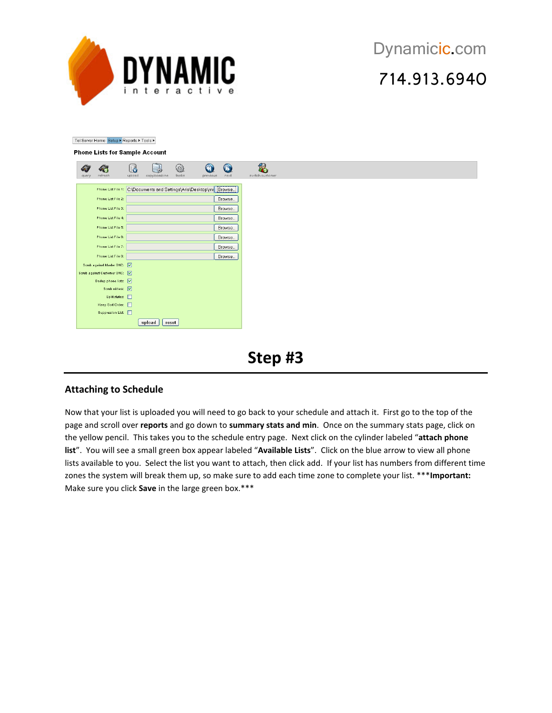

Tel Server Home Setup ▶ Reports ▶ Tools ▶

#### **Phone Lists for Sample Account**

| query | refresh                                                              | L6<br>upload | copy/combine    | 0<br>$t$ asks | previous | $\circledcirc$<br>next | 49<br>switch customer |
|-------|----------------------------------------------------------------------|--------------|-----------------|---------------|----------|------------------------|-----------------------|
|       | Phone List File 1: C\Documents and Settings\Aris\Desktop\mr   Browse |              |                 |               |          |                        |                       |
|       | Phone List File 2:                                                   |              |                 |               |          | Browse                 |                       |
|       | Phone List File 3:                                                   |              |                 |               |          | Browse                 |                       |
|       | Phone List File 4:                                                   |              |                 |               |          | Browse                 |                       |
|       | Phone List File 5:                                                   |              |                 |               |          | Browse                 |                       |
|       | Phone List File 6:                                                   |              |                 |               |          | Browse                 |                       |
|       | Phone List File 7:                                                   |              |                 |               |          | Browse                 |                       |
|       | Phone List File 8:                                                   |              |                 |               |          | Browse                 |                       |
|       | Scrub against Master DNC: V<br>Sorub against Customer DNC: V         |              |                 |               |          |                        |                       |
|       | Dedup phone lists: V                                                 |              |                 |               |          |                        |                       |
|       | Scrub wirless: V                                                     |              |                 |               |          |                        |                       |
|       | Split states: 0<br>Keep Sort Order: 0                                |              |                 |               |          |                        |                       |
|       | Suppression List:                                                    |              |                 |               |          |                        |                       |
|       |                                                                      |              | upload<br>reset |               |          |                        |                       |

## **Step #3**

#### **Attaching to Schedule**

Now that your list is uploaded you will need to go back to your schedule and attach it. First go to the top of the page and scroll over **reports** and go down to **summary stats and min**. Once on the summary stats page, click on the yellow pencil. This takes you to the schedule entry page. Next click on the cylinder labeled "**attach phone list**". You will see a small green box appear labeled "**Available Lists**". Click on the blue arrow to view all phone lists available to you. Select the list you want to attach, then click add. If your list has numbers from different time zones the system will break them up, so make sure to add each time zone to complete your list. \*\*\***Important:** Make sure you click **Save** in the large green box.\*\*\*